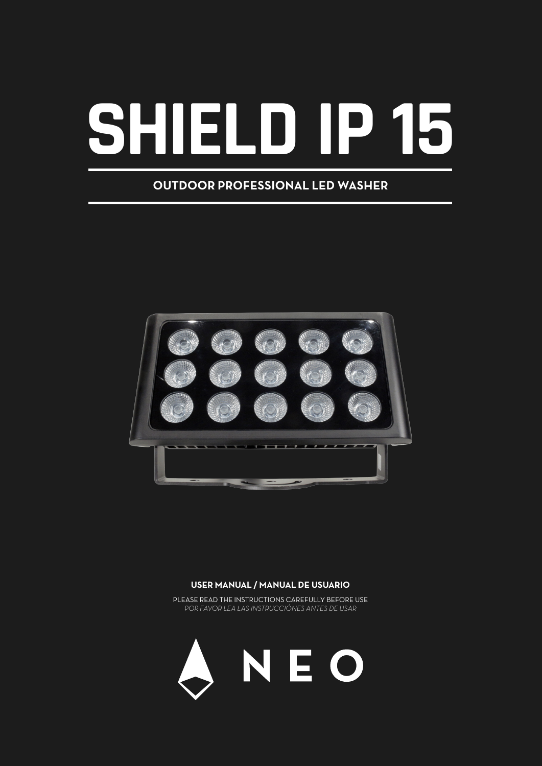# **SHIELD IP 15**

## **OUTDOOR PROFESSIONAL LED WASHER**



#### **USER MANUAL / MANUAL DE USUARIO**

PLEASE READ THE INSTRUCTIONS CAREFULLY BEFORE USE *POR FAVOR LEA LAS INSTRUCCIÓNES ANTES DE USAR*

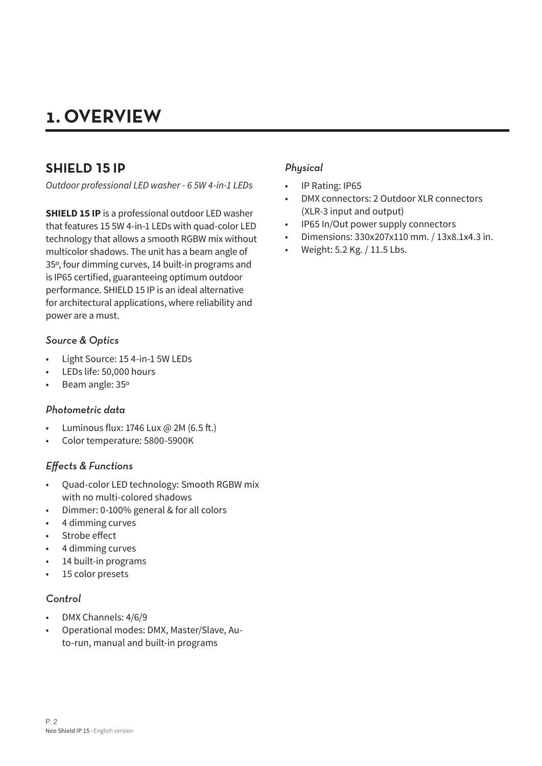# **1. OVERVIEW**

## **SHIELD 15 IP**

*Outdoor professional LED washer - 6 5W 4-in-1 LEDs*

**SHIELD 15 IP** is a professional outdoor LED washer that features 15 5W 4-in-1 LEDs with quad-color LED technology that allows a smooth RGBW mix without multicolor shadows. The unit has a beam angle of 35º, four dimming curves, 14 built-in programs and is IP65 certified, guaranteeing optimum outdoor performance. SHIELD 15 IP is an ideal alternative for architectural applications, where reliability and power are a must.

## *Source & Optics*

- Light Source: 15 4-in-1 5W LEDs
- LEDs life: 50,000 hours
- Beam angle: 35º

## *Photometric data*

- Luminous flux: 1746 Lux @ 2M (6.5 ft.)
- Color temperature: 5800-5900K

## *Effects & Functions*

- Quad-color LED technology: Smooth RGBW mix with no multi-colored shadows
- Dimmer: 0-100% general & for all colors
- 4 dimming curves
- Strobe effect
- 4 dimming curves
- 14 built-in programs
- 15 color presets

## *Control*

- DMX Channels: 4/6/9
- Operational modes: DMX, Master/Slave, Auto-run, manual and built-in programs

## *Physical*

- IP Rating: IP65
- DMX connectors: 2 Outdoor XLR connectors (XLR-3 input and output)
- IP65 In/Out power supply connectors
- Dimensions: 330x207x110 mm. / 13x8.1x4.3 in.
- Weight: 5.2 Kg. / 11.5 Lbs.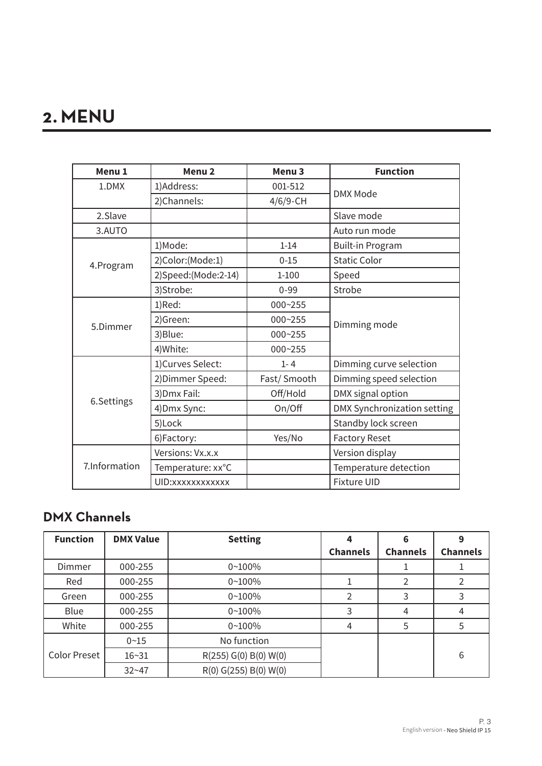# **2. MENU**

| Menu <sub>1</sub> | Menu <sub>2</sub>   | Menu <sub>3</sub> | <b>Function</b>                    |  |
|-------------------|---------------------|-------------------|------------------------------------|--|
| 1.DMX             | 1)Address:          | 001-512           | <b>DMX Mode</b>                    |  |
|                   | 2)Channels:         | 4/6/9-CH          |                                    |  |
| 2.Slave           |                     |                   | Slave mode                         |  |
| 3.AUTO            |                     |                   | Auto run mode                      |  |
|                   | 1)Mode:             | $1 - 14$          | <b>Built-in Program</b>            |  |
| 4.Program         | 2)Color:(Mode:1)    | $0 - 15$          | <b>Static Color</b>                |  |
|                   | 2)Speed:(Mode:2-14) | $1 - 100$         | Speed                              |  |
|                   | 3)Strobe:           | $0 - 99$          | Strobe                             |  |
|                   | 1)Red:              | $000 - 255$       | Dimming mode                       |  |
|                   | 2)Green:            | 000~255           |                                    |  |
| 5.Dimmer          | 3) Blue:            | 000~255           |                                    |  |
|                   | 4) White:           | 000~255           |                                    |  |
|                   | 1)Curves Select:    | $1 - 4$           | Dimming curve selection            |  |
|                   | 2) Dimmer Speed:    | Fast/Smooth       | Dimming speed selection            |  |
|                   | 3) Dmx Fail:        | Off/Hold          | DMX signal option                  |  |
| 6.Settings        | 4) Dmx Sync:        | On/Off            | <b>DMX Synchronization setting</b> |  |
|                   | 5)Lock              |                   | Standby lock screen                |  |
|                   | 6)Factory:          | Yes/No            | <b>Factory Reset</b>               |  |
|                   | Versions: Vx.x.x    |                   | Version display                    |  |
| 7.Information     | Temperature: xx°C   |                   | Temperature detection              |  |
|                   | UID: xxxxxxxxxxxx   |                   | <b>Fixture UID</b>                 |  |

## **DMX Channels**

| <b>Function</b>     | <b>DMX Value</b> | <b>Setting</b>        |                 | 6               |                 |
|---------------------|------------------|-----------------------|-----------------|-----------------|-----------------|
|                     |                  |                       | <b>Channels</b> | <b>Channels</b> | <b>Channels</b> |
| Dimmer              | 000-255          | $0 - 100\%$           |                 |                 |                 |
| Red                 | 000-255          | $0 - 100%$            |                 | 2               | 2               |
| Green               | 000-255          | $0 - 100%$            |                 | 3               | 3               |
| Blue                | 000-255          | $0 - 100%$            | 3               | 4               | 4               |
| White               | 000-255          | $0 - 100%$            | 4               | 5               | 5               |
|                     | $0 - 15$         | No function           |                 |                 |                 |
| <b>Color Preset</b> | $16 - 31$        | R(255) G(0) B(0) W(0) |                 |                 | 6               |
|                     | $32 - 47$        | R(0) G(255) B(0) W(0) |                 |                 |                 |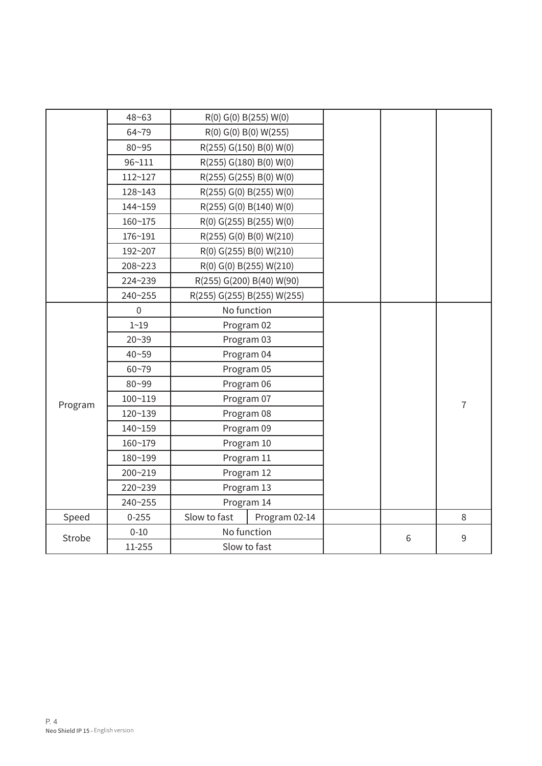|                        | $48 - 63$        |                             | R(0) G(0) B(255) W(0)     |  |   |                |
|------------------------|------------------|-----------------------------|---------------------------|--|---|----------------|
|                        | $64 - 79$        | R(0) G(0) B(0) W(255)       |                           |  |   |                |
|                        | $80 - 95$        | R(255) G(150) B(0) W(0)     |                           |  |   |                |
|                        | 96~111           |                             | R(255) G(180) B(0) W(0)   |  |   |                |
|                        | 112~127          |                             | R(255) G(255) B(0) W(0)   |  |   |                |
|                        | 128~143          | R(255) G(0) B(255) W(0)     |                           |  |   |                |
|                        | 144~159          |                             | R(255) G(0) B(140) W(0)   |  |   |                |
|                        | $160 - 175$      |                             | R(0) G(255) B(255) W(0)   |  |   |                |
|                        | 176~191          |                             | R(255) G(0) B(0) W(210)   |  |   |                |
|                        | 192~207          |                             | R(0) G(255) B(0) W(210)   |  |   |                |
|                        | 208~223          |                             | R(0) G(0) B(255) W(210)   |  |   |                |
|                        | 224~239          |                             | R(255) G(200) B(40) W(90) |  |   |                |
|                        | 240~255          | R(255) G(255) B(255) W(255) |                           |  |   |                |
|                        | $\boldsymbol{0}$ |                             | No function               |  |   |                |
|                        | $1 - 19$         | Program 02                  |                           |  |   |                |
|                        | $20 - 39$        | Program 03                  |                           |  |   |                |
|                        | $40 - 59$        |                             | Program 04                |  |   |                |
|                        | $60 - 79$        |                             | Program 05                |  |   |                |
|                        | 80~99            |                             | Program 06                |  |   |                |
| Program                | 100~119          |                             | Program 07                |  |   | $\overline{7}$ |
|                        | 120~139          | Program 08                  |                           |  |   |                |
|                        | 140~159          |                             | Program 09                |  |   |                |
|                        | 160~179          | Program 10                  |                           |  |   |                |
|                        | 180~199          | Program 11<br>Program 12    |                           |  |   |                |
|                        | 200~219          |                             |                           |  |   |                |
|                        | 220~239          | Program 13                  |                           |  |   |                |
|                        | 240~255          | Program 14                  |                           |  |   |                |
| Speed                  | $0 - 255$        | Slow to fast                | Program 02-14             |  |   | 8              |
| Strobe                 | $0 - 10$         | No function                 |                           |  | 6 | 9              |
| 11-255<br>Slow to fast |                  |                             |                           |  |   |                |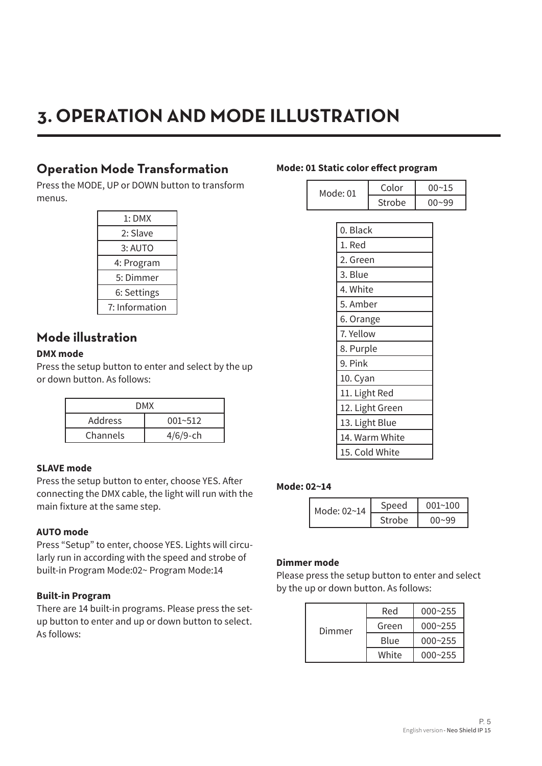# **3. OPERATION AND MODE ILLUSTRATION**

## **Operation Mode Transformation**

Press the MODE, UP or DOWN button to transform menus.

| 1:DMX          |
|----------------|
| 2: Slave       |
| 3: AUTO        |
| 4: Program     |
| 5: Dimmer      |
| 6: Settings    |
| 7: Information |

## **Mode illustration**

## **DMX mode**

Press the setup button to enter and select by the up or down button. As follows:

| DMX      |             |  |
|----------|-------------|--|
| Address  | $001 - 512$ |  |
| Channels | $4/6/9$ -ch |  |

## **SLAVE mode**

Press the setup button to enter, choose YES. After connecting the DMX cable, the light will run with the main fixture at the same step.

## **AUTO mode**

Press "Setup" to enter, choose YES. Lights will circularly run in according with the speed and strobe of built-in Program Mode:02~ Program Mode:14

## **Built-in Program**

There are 14 built-in programs. Please press the setup button to enter and up or down button to select. As follows:

#### **Mode: 01 Static color effect program**

| Mode: 01 | Color  | 00~15 |
|----------|--------|-------|
|          | Strobe | 00~99 |

| 0. Black        |
|-----------------|
| 1. Red          |
| 2. Green        |
| 3. Blue         |
| 4. White        |
| 5. Amber        |
| 6. Orange       |
| 7. Yellow       |
| 8. Purple       |
| 9. Pink         |
| 10. Cyan        |
| 11. Light Red   |
| 12. Light Green |
| 13. Light Blue  |
| 14. Warm White  |
| 15. Cold White  |

#### **Mode: 02~14**

| Mode: 02~14 | Speed  | 001~100 |
|-------------|--------|---------|
|             | Strobe | በበ~ዓዓ   |

## **Dimmer mode**

Please press the setup button to enter and select by the up or down button. As follows:

| Dimmer | Red   | $000 - 255$ |
|--------|-------|-------------|
|        | Green | $000 - 255$ |
|        | Blue  | $000 - 255$ |
|        | White | $000 - 255$ |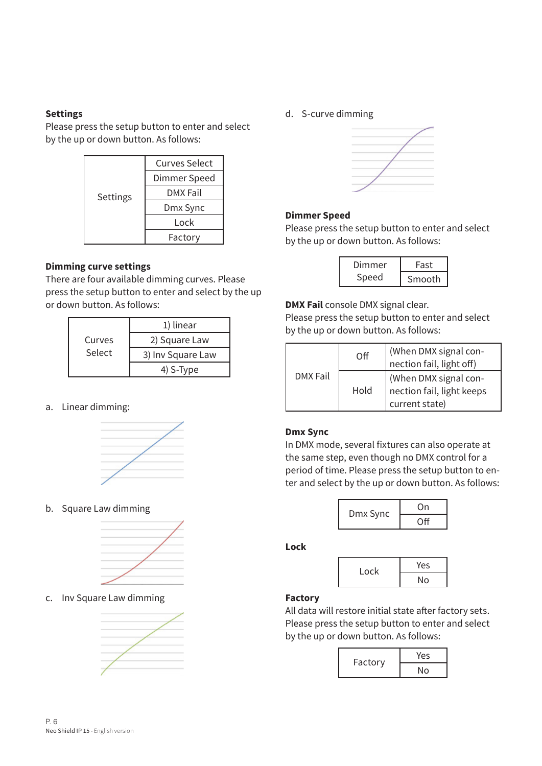#### **Settings**

Please press the setup button to enter and select by the up or down button. As follows:



## **Dimming curve settings**

There are four available dimming curves. Please press the setup button to enter and select by the up or down button. As follows:

| Curves<br>Select | 1) linear         |  |
|------------------|-------------------|--|
|                  | 2) Square Law     |  |
|                  | 3) Inv Square Law |  |
|                  | 4) S-Type         |  |

## a. Linear dimming:



b. Square Law dimming



c. Inv Square Law dimming



d. S-curve dimming



## **Dimmer Speed**

Please press the setup button to enter and select by the up or down button. As follows:

| Dimmer | Fast   |
|--------|--------|
| Speed  | Smooth |

**DMX Fail** console DMX signal clear.

Please press the setup button to enter and select by the up or down button. As follows:

|          | $\Omega$ | (When DMX signal con-<br>nection fail, light off)                    |
|----------|----------|----------------------------------------------------------------------|
| DMX Fail | Hold     | (When DMX signal con-<br>nection fail, light keeps<br>current state) |

## **Dmx Sync**

In DMX mode, several fixtures can also operate at the same step, even though no DMX control for a period of time. Please press the setup button to enter and select by the up or down button. As follows:



**Lock**



## **Factory**

All data will restore initial state after factory sets. Please press the setup button to enter and select by the up or down button. As follows:

| Factory | Yes |
|---------|-----|
|         | No  |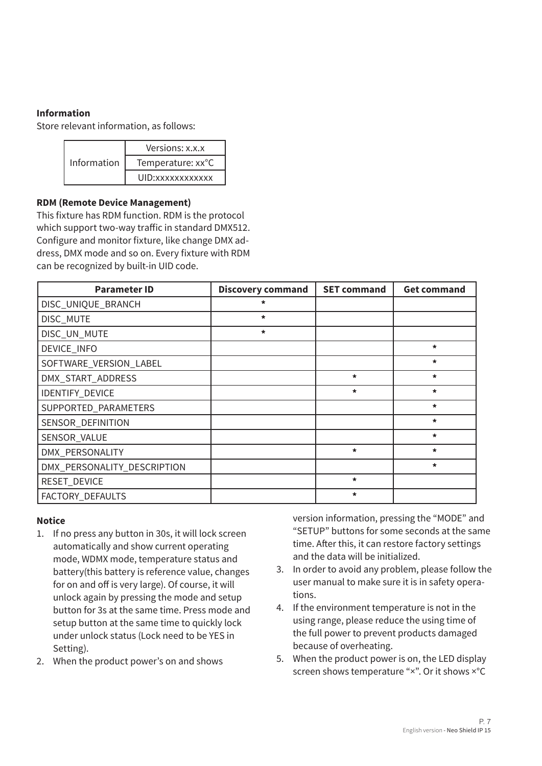## **Information**

Store relevant information, as follows:

|             | Versions: x.x.x   |
|-------------|-------------------|
| Information | Temperature: xx°C |
|             | UID: xxxxxxxxxxxx |

#### **RDM (Remote Device Management)**

This fixture has RDM function. RDM is the protocol which support two-way traffic in standard DMX512. Configure and monitor fixture, like change DMX address, DMX mode and so on. Every fixture with RDM can be recognized by built-in UID code.

| <b>Parameter ID</b>         | <b>Discovery command</b> | <b>SET command</b> | <b>Get command</b> |
|-----------------------------|--------------------------|--------------------|--------------------|
| DISC_UNIQUE_BRANCH          | $\star$                  |                    |                    |
| DISC_MUTE                   | $\star$                  |                    |                    |
| DISC_UN_MUTE                | $\star$                  |                    |                    |
| DEVICE_INFO                 |                          |                    | $\star$            |
| SOFTWARE_VERSION_LABEL      |                          |                    | $\star$            |
| DMX_START_ADDRESS           |                          | $\star$            | $\star$            |
| IDENTIFY_DEVICE             |                          | $\star$            | $\star$            |
| SUPPORTED_PARAMETERS        |                          |                    | $\star$            |
| SENSOR_DEFINITION           |                          |                    | $\star$            |
| SENSOR_VALUE                |                          |                    | $\star$            |
| DMX_PERSONALITY             |                          | $\star$            | $\star$            |
| DMX_PERSONALITY_DESCRIPTION |                          |                    | $\star$            |
| RESET_DEVICE                |                          | $\star$            |                    |
| FACTORY_DEFAULTS            |                          | $\star$            |                    |

## **Notice**

- 1. If no press any button in 30s, it will lock screen automatically and show current operating mode, WDMX mode, temperature status and battery(this battery is reference value, changes for on and off is very large). Of course, it will unlock again by pressing the mode and setup button for 3s at the same time. Press mode and setup button at the same time to quickly lock under unlock status (Lock need to be YES in Setting).
- 2. When the product power's on and shows

version information, pressing the "MODE" and "SETUP" buttons for some seconds at the same time. After this, it can restore factory settings and the data will be initialized.

- 3. In order to avoid any problem, please follow the user manual to make sure it is in safety operations.
- 4. If the environment temperature is not in the using range, please reduce the using time of the full power to prevent products damaged because of overheating.
- 5. When the product power is on, the LED display screen shows temperature "×". Or it shows ×°C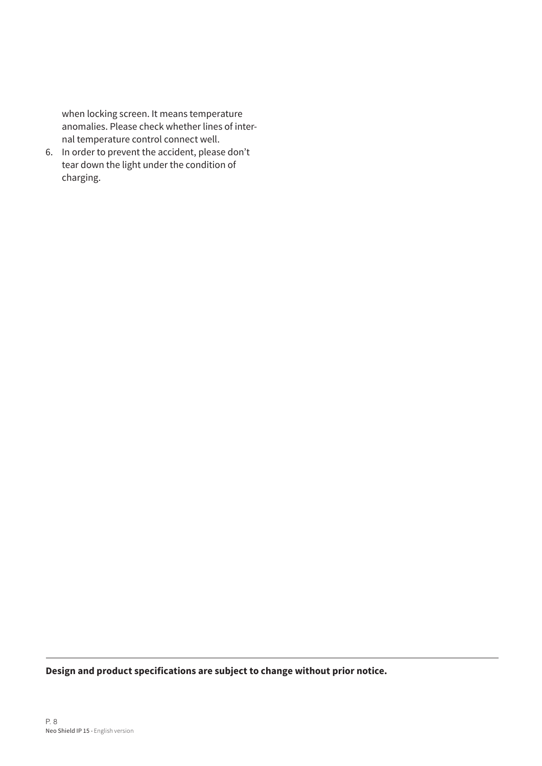when locking screen. It means temperature anomalies. Please check whether lines of internal temperature control connect well.

6. In order to prevent the accident, please don't tear down the light under the condition of charging.

**Design and product specifications are subject to change without prior notice.**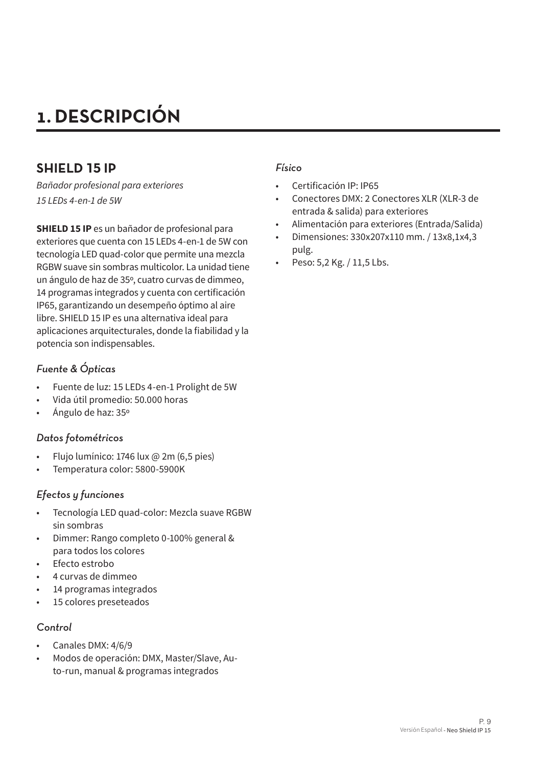# **1. DESCRIPCIÓN**

## **SHIELD 15 IP**

*Bañador profesional para exteriores 15 LEDs 4-en-1 de 5W*

**SHIELD 15 IP** es un bañador de profesional para exteriores que cuenta con 15 LEDs 4-en-1 de 5W con tecnología LED quad-color que permite una mezcla RGBW suave sin sombras multicolor. La unidad tiene un ángulo de haz de 35º, cuatro curvas de dimmeo, 14 programas integrados y cuenta con certificación IP65, garantizando un desempeño óptimo al aire libre. SHIELD 15 IP es una alternativa ideal para aplicaciones arquitecturales, donde la fiabilidad y la potencia son indispensables.

## *Fuente & Ópticas*

- Fuente de luz: 15 LEDs 4-en-1 Prolight de 5W
- Vida útil promedio: 50.000 horas
- Ángulo de haz: 35º

## *Datos fotométricos*

- Flujo lumínico: 1746 lux @ 2m (6,5 pies)
- Temperatura color: 5800-5900K

## *Efectos y funciones*

- Tecnología LED quad-color: Mezcla suave RGBW sin sombras
- Dimmer: Rango completo 0-100% general & para todos los colores
- Efecto estrobo
- 4 curvas de dimmeo
- 14 programas integrados
- 15 colores preseteados

## *Control*

- Canales DMX: 4/6/9
- Modos de operación: DMX, Master/Slave, Auto-run, manual & programas integrados

## *Físico*

- Certificación IP: IP65
- Conectores DMX: 2 Conectores XLR (XLR-3 de entrada & salida) para exteriores
- Alimentación para exteriores (Entrada/Salida)
- Dimensiones: 330x207x110 mm. / 13x8,1x4,3 pulg.
- Peso: 5,2 Kg. / 11,5 Lbs.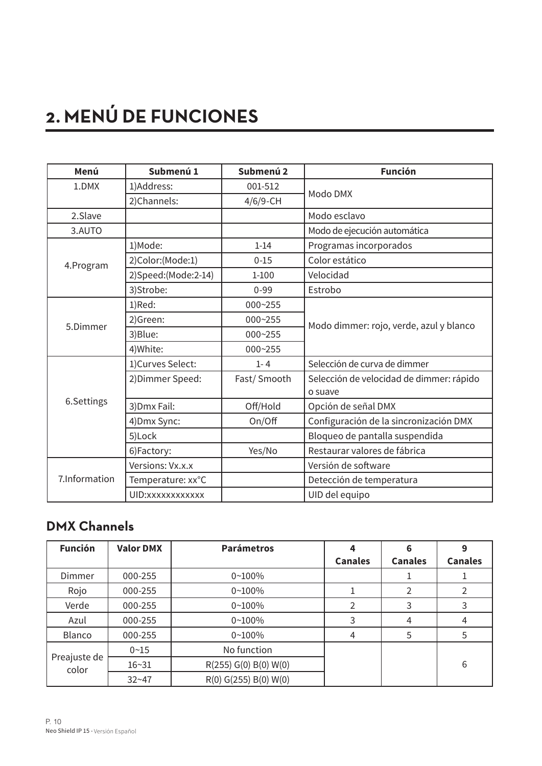# **2. MENÚ DE FUNCIONES**

| Menú          | Submenú 1           | Submenú 2   | <b>Función</b>                           |
|---------------|---------------------|-------------|------------------------------------------|
| 1.DMX         | 1)Address:          | 001-512     | Modo DMX                                 |
|               | 2)Channels:         | $4/6/9$ -CH |                                          |
| 2.Slave       |                     |             | Modo esclavo                             |
| 3.AUTO        |                     |             | Modo de ejecución automática             |
|               | 1)Mode:             | $1 - 14$    | Programas incorporados                   |
| 4.Program     | 2)Color:(Mode:1)    | $0 - 15$    | Color estático                           |
|               | 2)Speed:(Mode:2-14) | $1 - 100$   | Velocidad                                |
|               | 3)Strobe:           | $0 - 99$    | Estrobo                                  |
|               | 1)Red:              | 000~255     |                                          |
| 5.Dimmer      | 2)Green:            | 000~255     | Modo dimmer: rojo, verde, azul y blanco  |
|               | 3)Blue:             | 000~255     |                                          |
|               | 4) White:           | 000~255     |                                          |
|               | 1)Curves Select:    | $1 - 4$     | Selección de curva de dimmer             |
|               | 2) Dimmer Speed:    | Fast/Smooth | Selección de velocidad de dimmer: rápido |
|               |                     |             | o suave                                  |
| 6.Settings    | 3) Dmx Fail:        | Off/Hold    | Opción de señal DMX                      |
|               | 4) Dmx Sync:        | On/Off      | Configuración de la sincronización DMX   |
|               | 5)Lock              |             | Bloqueo de pantalla suspendida           |
|               | 6)Factory:          | Yes/No      | Restaurar valores de fábrica             |
|               | Versions: Vx.x.x    |             | Versión de software                      |
| 7.Information | Temperature: xx°C   |             | Detección de temperatura                 |
|               | UID: xxxxxxxxxxxx   |             | UID del equipo                           |

## **DMX Channels**

| <b>Función</b>        | <b>Valor DMX</b> | <b>Parámetros</b>     |                | 6              | 9              |
|-----------------------|------------------|-----------------------|----------------|----------------|----------------|
|                       |                  |                       | <b>Canales</b> | <b>Canales</b> | <b>Canales</b> |
| Dimmer                | 000-255          | $0 - 100%$            |                |                |                |
| Rojo                  | 000-255          | $0 - 100%$            |                | $\mathcal{P}$  |                |
| Verde                 | 000-255          | $0 - 100%$            |                | 3              | 3              |
| Azul                  | 000-255          | $0 - 100%$            | 3              | 4              | 4              |
| Blanco                | 000-255          | $0 - 100%$            | 4              | 5              | 5              |
|                       | $0 - 15$         | No function           |                |                |                |
| Preajuste de<br>color | $16 - 31$        | R(255) G(0) B(0) W(0) |                |                | 6              |
|                       | $32 - 47$        | R(0) G(255) B(0) W(0) |                |                |                |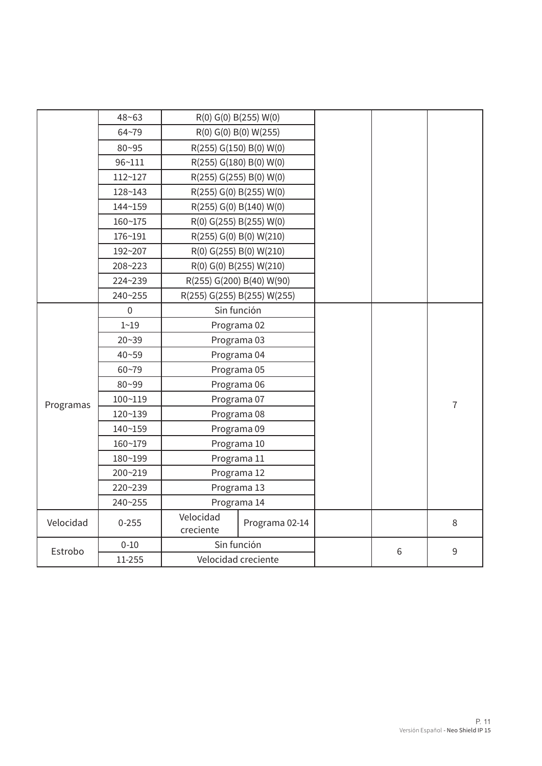|           | $48 - 63$   |                        | R(0) G(0) B(255) W(0)       |  |  |
|-----------|-------------|------------------------|-----------------------------|--|--|
|           | $64 - 79$   |                        | R(0) G(0) B(0) W(255)       |  |  |
|           | $80 - 95$   |                        | R(255) G(150) B(0) W(0)     |  |  |
|           | $96 - 111$  |                        | R(255) G(180) B(0) W(0)     |  |  |
|           | 112~127     |                        | R(255) G(255) B(0) W(0)     |  |  |
|           | 128~143     |                        | R(255) G(0) B(255) W(0)     |  |  |
|           | 144~159     |                        | R(255) G(0) B(140) W(0)     |  |  |
|           | 160~175     |                        | R(0) G(255) B(255) W(0)     |  |  |
|           | 176~191     |                        | R(255) G(0) B(0) W(210)     |  |  |
|           | 192~207     |                        | R(0) G(255) B(0) W(210)     |  |  |
|           | 208~223     |                        | R(0) G(0) B(255) W(210)     |  |  |
|           | 224~239     |                        | R(255) G(200) B(40) W(90)   |  |  |
|           | 240~255     |                        | R(255) G(255) B(255) W(255) |  |  |
|           | $\Omega$    |                        | Sin función                 |  |  |
|           | $1 - 19$    |                        | Programa 02                 |  |  |
|           | $20 - 39$   |                        | Programa 03                 |  |  |
|           | $40 - 59$   |                        | Programa 04                 |  |  |
|           | $60 - 79$   |                        | Programa 05                 |  |  |
|           | 80~99       |                        | Programa 06                 |  |  |
| Programas | $100 - 119$ |                        | Programa 07                 |  |  |
|           | 120~139     |                        | Programa 08                 |  |  |
|           | 140~159     |                        | Programa 09                 |  |  |
|           | 160~179     |                        | Programa 10                 |  |  |
|           | 180~199     |                        | Programa 11                 |  |  |
|           | 200~219     | Programa 12            |                             |  |  |
|           | 220~239     | Programa 13            |                             |  |  |
|           | 240~255     |                        | Programa 14                 |  |  |
| Velocidad | $0 - 255$   | Velocidad<br>creciente | Programa 02-14              |  |  |
| Estrobo   | $0 - 10$    |                        | Sin función                 |  |  |
|           | 11-255      | Velocidad creciente    |                             |  |  |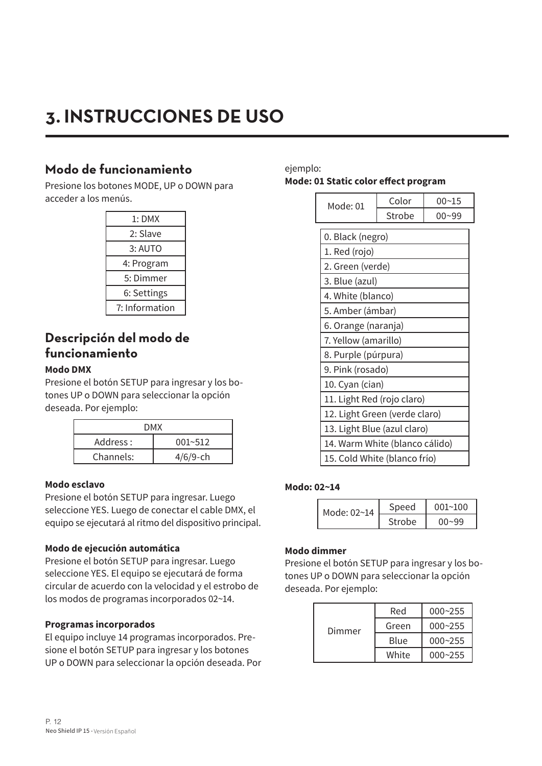# **3. INSTRUCCIONES DE USO**

## **Modo de funcionamiento**

Presione los botones MODE, UP o DOWN para acceder a los menús.

| 1: DMX         |
|----------------|
| 2: Slave       |
| 3: AUTO        |
| 4: Program     |
| 5: Dimmer      |
| 6: Settings    |
| 7: Information |
|                |

## **Descripción del modo de funcionamiento**

## **Modo DMX**

Presione el botón SETUP para ingresar y los botones UP o DOWN para seleccionar la opción deseada. Por ejemplo:

| DMX       |             |  |
|-----------|-------------|--|
| Address : | $001 - 512$ |  |
| Channels: | $4/6/9$ -ch |  |

## **Modo esclavo**

Presione el botón SETUP para ingresar. Luego seleccione YES. Luego de conectar el cable DMX, el equipo se ejecutará al ritmo del dispositivo principal.

## **Modo de ejecución automática**

Presione el botón SETUP para ingresar. Luego seleccione YES. El equipo se ejecutará de forma circular de acuerdo con la velocidad y el estrobo de los modos de programas incorporados 02~14.

## **Programas incorporados**

El equipo incluye 14 programas incorporados. Presione el botón SETUP para ingresar y los botones UP o DOWN para seleccionar la opción deseada. Por

## ejemplo: **Mode: 01 Static color effect program**

| Mode: 01                      | Color                          | $00 - 15$ |  |
|-------------------------------|--------------------------------|-----------|--|
|                               | Strobe                         | $00 - 99$ |  |
| 0. Black (negro)              |                                |           |  |
| 1. Red (rojo)                 |                                |           |  |
| 2. Green (verde)              |                                |           |  |
| 3. Blue (azul)                |                                |           |  |
| 4. White (blanco)             |                                |           |  |
|                               | 5. Amber (ámbar)               |           |  |
| 6. Orange (naranja)           |                                |           |  |
| 7. Yellow (amarillo)          |                                |           |  |
| 8. Purple (púrpura)           |                                |           |  |
| 9. Pink (rosado)              |                                |           |  |
| 10. Cyan (cian)               |                                |           |  |
| 11. Light Red (rojo claro)    |                                |           |  |
| 12. Light Green (verde claro) |                                |           |  |
|                               | 13. Light Blue (azul claro)    |           |  |
|                               | 14. Warm White (blanco cálido) |           |  |
| 15. Cold White (blanco frío)  |                                |           |  |

## **Modo: 02~14**

| Mode: 02~14 | Speed  | 001~100   |
|-------------|--------|-----------|
|             | Strobe | $00 - 99$ |

## **Modo dimmer**

Presione el botón SETUP para ingresar y los botones UP o DOWN para seleccionar la opción deseada. Por ejemplo:

| Dimmer | Red   | $000 - 255$ |
|--------|-------|-------------|
|        | Green | $000 - 255$ |
|        | Blue  | $000 - 255$ |
|        | White | $000 - 255$ |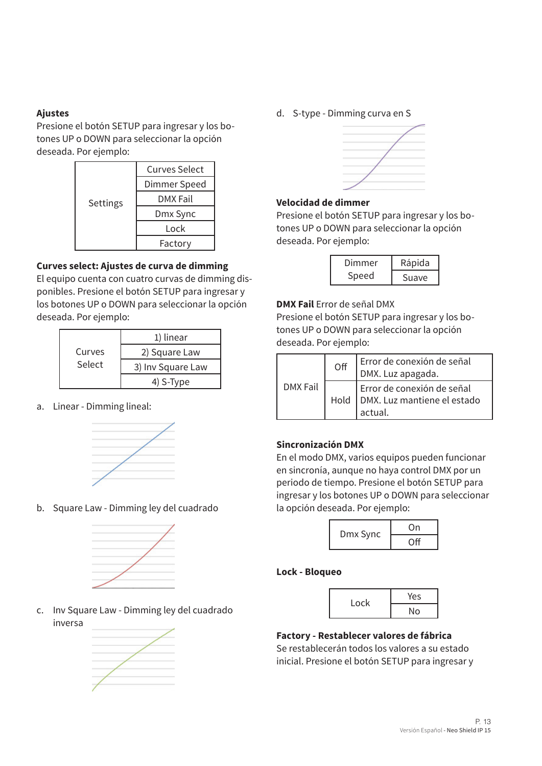## **Ajustes**

Presione el botón SETUP para ingresar y los botones UP o DOWN para seleccionar la opción deseada. Por ejemplo:

| Settings | <b>Curves Select</b> |
|----------|----------------------|
|          | Dimmer Speed         |
|          | DMX Fail             |
|          | Dmx Sync             |
|          | Lock                 |
|          | Factory              |

## **Curves select: Ajustes de curva de dimming**

El equipo cuenta con cuatro curvas de dimming disponibles. Presione el botón SETUP para ingresar y los botones UP o DOWN para seleccionar la opción deseada. Por ejemplo:

| Curves<br>Select | 1) linear         |  |
|------------------|-------------------|--|
|                  | 2) Square Law     |  |
|                  | 3) Inv Square Law |  |
|                  | 4) S-Type         |  |

a. Linear - Dimming lineal:



b. Square Law - Dimming ley del cuadrado



c. Inv Square Law - Dimming ley del cuadrado inversa



d. S-type - Dimming curva en S



## **Velocidad de dimmer**

Presione el botón SETUP para ingresar y los botones UP o DOWN para seleccionar la opción deseada. Por ejemplo:

| Dimmer | Rápida |  |
|--------|--------|--|
| Speed  | Suave  |  |

## **DMX Fail** Error de señal DMX

Presione el botón SETUP para ingresar y los botones UP o DOWN para seleccionar la opción deseada. Por ejemplo:

|                  | Off                                                                  | Error de conexión de señal<br>DMX. Luz apagada. |  |
|------------------|----------------------------------------------------------------------|-------------------------------------------------|--|
| DMX Fail<br>Hold | Error de conexión de señal<br>DMX. Luz mantiene el estado<br>actual. |                                                 |  |

## **Sincronización DMX**

En el modo DMX, varios equipos pueden funcionar en sincronía, aunque no haya control DMX por un periodo de tiempo. Presione el botón SETUP para ingresar y los botones UP o DOWN para seleccionar la opción deseada. Por ejemplo:

| Dmx Sync | On  |  |
|----------|-----|--|
|          | ∩ff |  |

## **Lock - Bloqueo**

| Lock | Yes |  |
|------|-----|--|
|      | No  |  |

## **Factory - Restablecer valores de fábrica** Se restablecerán todos los valores a su estado inicial. Presione el botón SETUP para ingresar y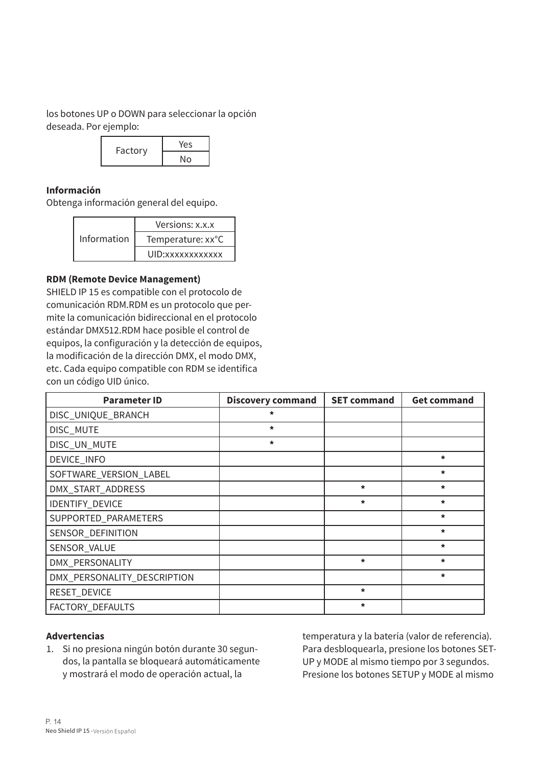los botones UP o DOWN para seleccionar la opción deseada. Por ejemplo:



## **Información**

Obtenga información general del equipo.

| Information | Versions: x.x.x   |  |
|-------------|-------------------|--|
|             | Temperature: xx°C |  |
|             | UID: xxxxxxxxxxxx |  |

#### **RDM (Remote Device Management)**

SHIELD IP 15 es compatible con el protocolo de comunicación RDM.RDM es un protocolo que permite la comunicación bidireccional en el protocolo estándar DMX512.RDM hace posible el control de equipos, la configuración y la detección de equipos, la modificación de la dirección DMX, el modo DMX, etc. Cada equipo compatible con RDM se identifica con un código UID único.

| <b>Parameter ID</b>         | <b>Discovery command</b> | <b>SET command</b> | <b>Get command</b> |
|-----------------------------|--------------------------|--------------------|--------------------|
| DISC_UNIQUE_BRANCH          | $\star$                  |                    |                    |
| DISC_MUTE                   | $\star$                  |                    |                    |
| DISC_UN_MUTE                | $\star$                  |                    |                    |
| DEVICE_INFO                 |                          |                    | $\star$            |
| SOFTWARE_VERSION_LABEL      |                          |                    | $\star$            |
| DMX_START_ADDRESS           |                          | $\star$            | $\star$            |
| IDENTIFY_DEVICE             |                          | $\star$            | $\star$            |
| SUPPORTED_PARAMETERS        |                          |                    | $\star$            |
| SENSOR_DEFINITION           |                          |                    | $\star$            |
| SENSOR_VALUE                |                          |                    | $\star$            |
| DMX_PERSONALITY             |                          | *                  | $\star$            |
| DMX_PERSONALITY_DESCRIPTION |                          |                    | $\star$            |
| RESET_DEVICE                |                          | *                  |                    |
| FACTORY_DEFAULTS            |                          | *                  |                    |

## **Advertencias**

1. Si no presiona ningún botón durante 30 segundos, la pantalla se bloqueará automáticamente y mostrará el modo de operación actual, la

temperatura y la batería (valor de referencia). Para desbloquearla, presione los botones SET-UP y MODE al mismo tiempo por 3 segundos. Presione los botones SETUP y MODE al mismo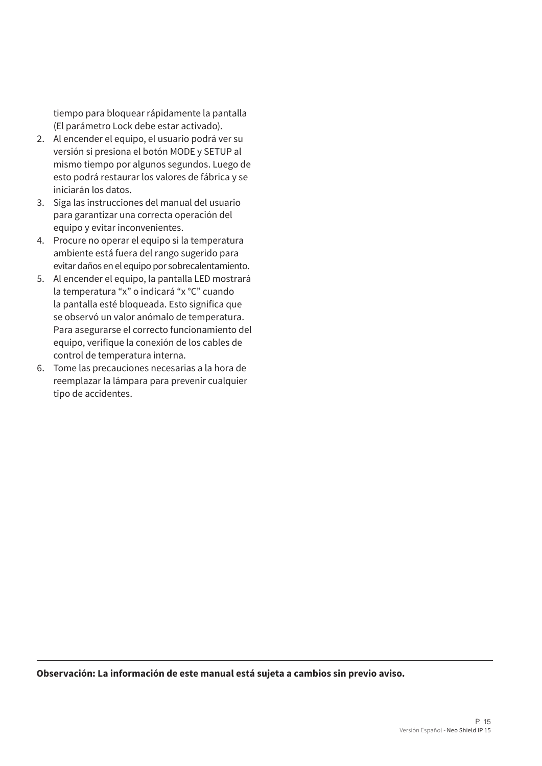tiempo para bloquear rápidamente la pantalla (El parámetro Lock debe estar activado).

- 2. Al encender el equipo, el usuario podrá ver su versión si presiona el botón MODE y SETUP al mismo tiempo por algunos segundos. Luego de esto podrá restaurar los valores de fábrica y se iniciarán los datos.
- 3. Siga las instrucciones del manual del usuario para garantizar una correcta operación del equipo y evitar inconvenientes.
- 4. Procure no operar el equipo si la temperatura ambiente está fuera del rango sugerido para evitar daños en el equipo por sobrecalentamiento.
- 5. Al encender el equipo, la pantalla LED mostrará la temperatura "x" o indicará "x °C" cuando la pantalla esté bloqueada. Esto significa que se observó un valor anómalo de temperatura. Para asegurarse el correcto funcionamiento del equipo, verifique la conexión de los cables de control de temperatura interna.
- 6. Tome las precauciones necesarias a la hora de reemplazar la lámpara para prevenir cualquier tipo de accidentes.

**Observación: La información de este manual está sujeta a cambios sin previo aviso.**